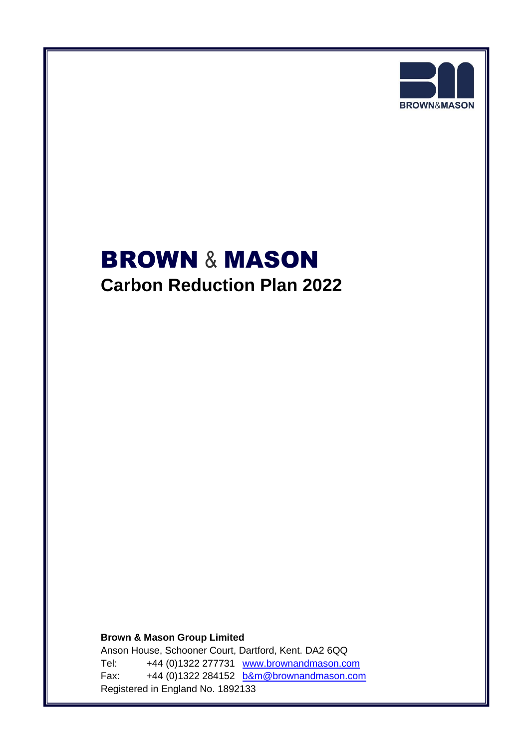

# **BROWN & MASON Carbon Reduction Plan 2022**

**Brown & Mason Group Limited** Anson House, Schooner Court, Dartford, Kent. DA2 6QQ Tel: +44 (0)1322 277731 [www.brownandmason.com](http://www.brownandmason.com/) Fax: +44 (0)1322 284152 [b&m@brownandmason.com](mailto:b&m@brownandmason.com) Registered in England No. 1892133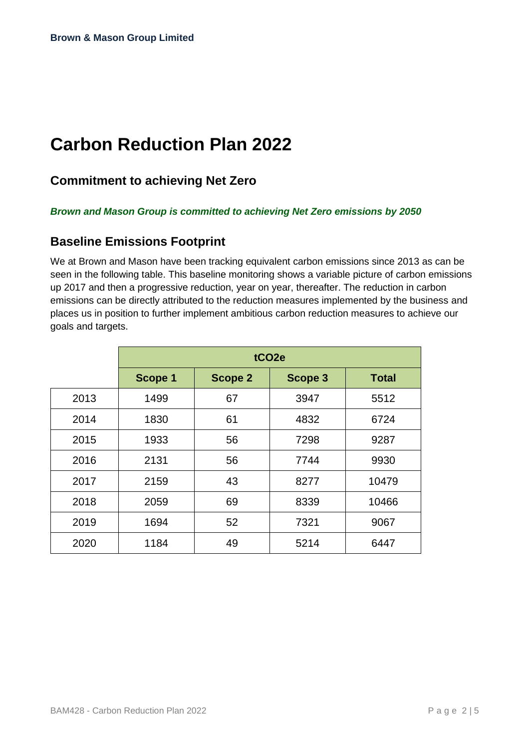# **Carbon Reduction Plan 2022**

### **Commitment to achieving Net Zero**

#### *Brown and Mason Group is committed to achieving Net Zero emissions by 2050*

#### **Baseline Emissions Footprint**

We at Brown and Mason have been tracking equivalent carbon emissions since 2013 as can be seen in the following table. This baseline monitoring shows a variable picture of carbon emissions up 2017 and then a progressive reduction, year on year, thereafter. The reduction in carbon emissions can be directly attributed to the reduction measures implemented by the business and places us in position to further implement ambitious carbon reduction measures to achieve our goals and targets.

|      | tCO <sub>2e</sub> |         |         |              |
|------|-------------------|---------|---------|--------------|
|      | Scope 1           | Scope 2 | Scope 3 | <b>Total</b> |
| 2013 | 1499              | 67      | 3947    | 5512         |
| 2014 | 1830              | 61      | 4832    | 6724         |
| 2015 | 1933              | 56      | 7298    | 9287         |
| 2016 | 2131              | 56      | 7744    | 9930         |
| 2017 | 2159              | 43      | 8277    | 10479        |
| 2018 | 2059              | 69      | 8339    | 10466        |
| 2019 | 1694              | 52      | 7321    | 9067         |
| 2020 | 1184              | 49      | 5214    | 6447         |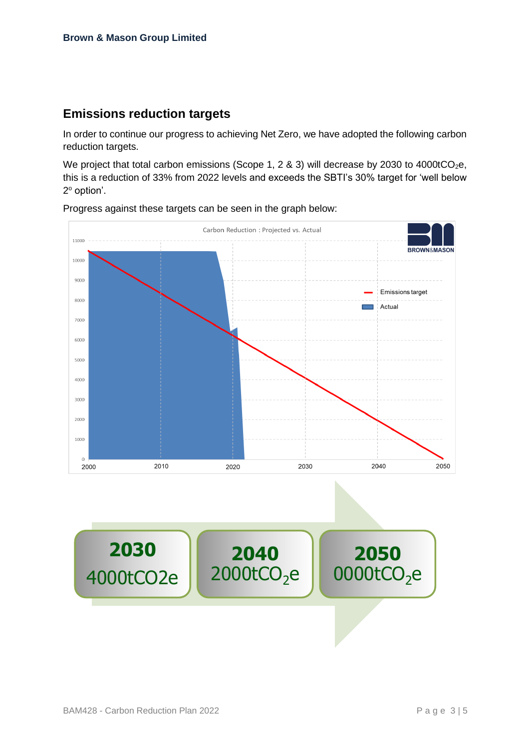#### **Emissions reduction targets**

In order to continue our progress to achieving Net Zero, we have adopted the following carbon reduction targets.

We project that total carbon emissions (Scope 1, 2 & 3) will decrease by 2030 to 4000tCO<sub>2</sub>e, this is a reduction of 33% from 2022 levels and exceeds the SBTI's 30% target for 'well below 2<sup>°</sup> option'.



Progress against these targets can be seen in the graph below:

4000tCO2e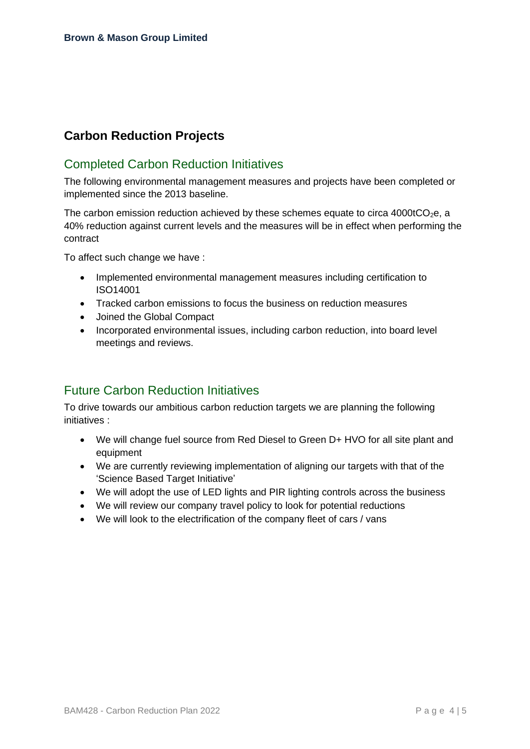## **Carbon Reduction Projects**

#### Completed Carbon Reduction Initiatives

The following environmental management measures and projects have been completed or implemented since the 2013 baseline.

The carbon emission reduction achieved by these schemes equate to circa  $4000tCO<sub>2</sub>e$ , a 40% reduction against current levels and the measures will be in effect when performing the contract

To affect such change we have :

- Implemented environmental management measures including certification to ISO14001
- Tracked carbon emissions to focus the business on reduction measures
- Joined the Global Compact
- Incorporated environmental issues, including carbon reduction, into board level meetings and reviews.

#### Future Carbon Reduction Initiatives

To drive towards our ambitious carbon reduction targets we are planning the following initiatives :

- We will change fuel source from Red Diesel to Green D+ HVO for all site plant and equipment
- We are currently reviewing implementation of aligning our targets with that of the 'Science Based Target Initiative'
- We will adopt the use of LED lights and PIR lighting controls across the business
- We will review our company travel policy to look for potential reductions
- We will look to the electrification of the company fleet of cars / vans